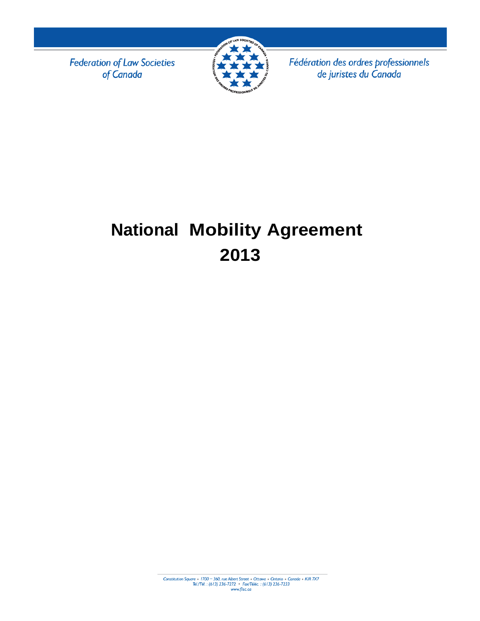**Federation of Law Societies** of Canada



Fédération des ordres professionnels de juristes du Canada

# **National Mobility Agreement 2013**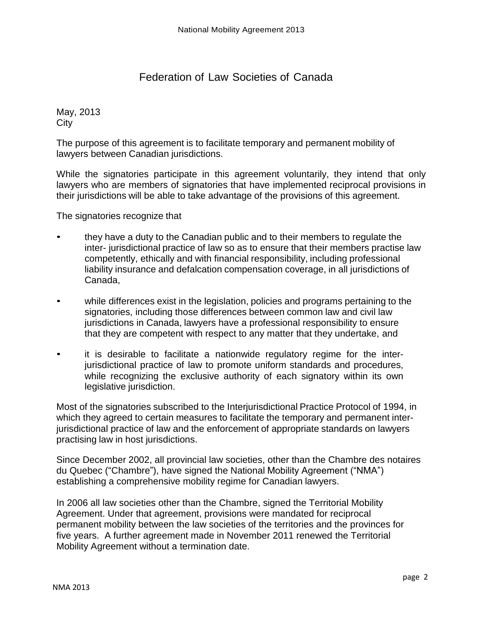# Federation of Law Societies of Canada

May, 2013 City

The purpose of this agreement is to facilitate temporary and permanent mobility of lawyers between Canadian jurisdictions.

While the signatories participate in this agreement voluntarily, they intend that only lawyers who are members of signatories that have implemented reciprocal provisions in their jurisdictions will be able to take advantage of the provisions of this agreement.

The signatories recognize that

- they have a duty to the Canadian public and to their members to regulate the inter- jurisdictional practice of law so as to ensure that their members practise law competently, ethically and with financial responsibility, including professional liability insurance and defalcation compensation coverage, in all jurisdictions of Canada,
- while differences exist in the legislation, policies and programs pertaining to the signatories, including those differences between common law and civil law jurisdictions in Canada, lawyers have a professional responsibility to ensure that they are competent with respect to any matter that they undertake, and
- it is desirable to facilitate a nationwide regulatory regime for the interjurisdictional practice of law to promote uniform standards and procedures, while recognizing the exclusive authority of each signatory within its own legislative jurisdiction.

Most of the signatories subscribed to the Interjurisdictional Practice Protocol of 1994, in which they agreed to certain measures to facilitate the temporary and permanent interjurisdictional practice of law and the enforcement of appropriate standards on lawyers practising law in host jurisdictions.

Since December 2002, all provincial law societies, other than the Chambre des notaires du Quebec ("Chambre"), have signed the National Mobility Agreement ("NMA") establishing a comprehensive mobility regime for Canadian lawyers.

In 2006 all law societies other than the Chambre, signed the Territorial Mobility Agreement. Under that agreement, provisions were mandated for reciprocal permanent mobility between the law societies of the territories and the provinces for five years. A further agreement made in November 2011 renewed the Territorial Mobility Agreement without a termination date.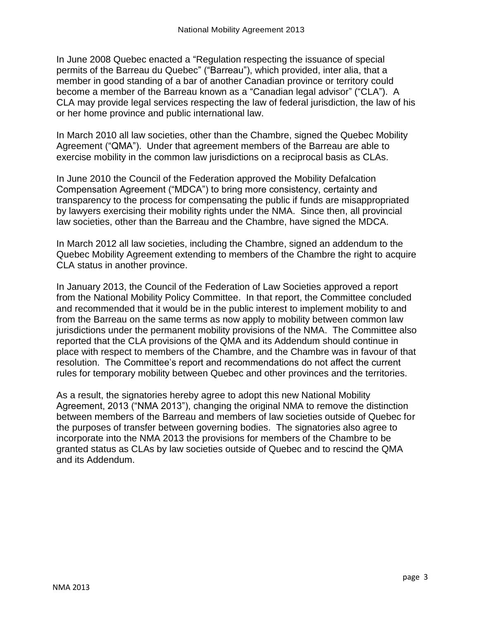In June 2008 Quebec enacted a "Regulation respecting the issuance of special permits of the Barreau du Quebec" ("Barreau"), which provided, inter alia, that a member in good standing of a bar of another Canadian province or territory could become a member of the Barreau known as a "Canadian legal advisor" ("CLA"). A CLA may provide legal services respecting the law of federal jurisdiction, the law of his or her home province and public international law.

In March 2010 all law societies, other than the Chambre, signed the Quebec Mobility Agreement ("QMA"). Under that agreement members of the Barreau are able to exercise mobility in the common law jurisdictions on a reciprocal basis as CLAs.

In June 2010 the Council of the Federation approved the Mobility Defalcation Compensation Agreement ("MDCA") to bring more consistency, certainty and transparency to the process for compensating the public if funds are misappropriated by lawyers exercising their mobility rights under the NMA. Since then, all provincial law societies, other than the Barreau and the Chambre, have signed the MDCA.

In March 2012 all law societies, including the Chambre, signed an addendum to the Quebec Mobility Agreement extending to members of the Chambre the right to acquire CLA status in another province.

In January 2013, the Council of the Federation of Law Societies approved a report from the National Mobility Policy Committee. In that report, the Committee concluded and recommended that it would be in the public interest to implement mobility to and from the Barreau on the same terms as now apply to mobility between common law jurisdictions under the permanent mobility provisions of the NMA. The Committee also reported that the CLA provisions of the QMA and its Addendum should continue in place with respect to members of the Chambre, and the Chambre was in favour of that resolution. The Committee's report and recommendations do not affect the current rules for temporary mobility between Quebec and other provinces and the territories.

As a result, the signatories hereby agree to adopt this new National Mobility Agreement, 2013 ("NMA 2013"), changing the original NMA to remove the distinction between members of the Barreau and members of law societies outside of Quebec for the purposes of transfer between governing bodies. The signatories also agree to incorporate into the NMA 2013 the provisions for members of the Chambre to be granted status as CLAs by law societies outside of Quebec and to rescind the QMA and its Addendum.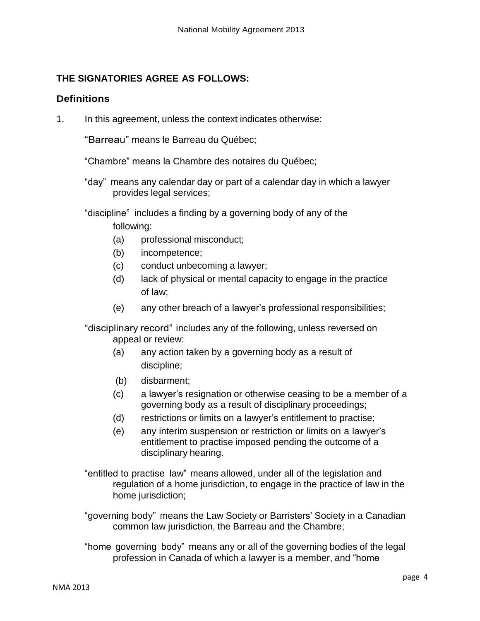### **THE SIGNATORIES AGREE AS FOLLOWS:**

#### **Definitions**

1. In this agreement, unless the context indicates otherwise:

"Barreau" means le Barreau du Québec;

"Chambre" means la Chambre des notaires du Québec;

"day" means any calendar day or part of a calendar day in which a lawyer provides legal services;

"discipline" includes a finding by a governing body of any of the following:

- (a) professional misconduct;
- (b) incompetence;
- (c) conduct unbecoming a lawyer;
- (d) lack of physical or mental capacity to engage in the practice of law;
- (e) any other breach of a lawyer's professional responsibilities;

"disciplinary record" includes any of the following, unless reversed on appeal or review:

- (a) any action taken by a governing body as a result of discipline;
- (b) disbarment;
- (c) a lawyer's resignation or otherwise ceasing to be a member of a governing body as a result of disciplinary proceedings;
- (d) restrictions or limits on a lawyer's entitlement to practise;
- (e) any interim suspension or restriction or limits on a lawyer's entitlement to practise imposed pending the outcome of a disciplinary hearing.
- "entitled to practise law" means allowed, under all of the legislation and regulation of a home jurisdiction, to engage in the practice of law in the home jurisdiction;
- "governing body" means the Law Society or Barristers' Society in a Canadian common law jurisdiction, the Barreau and the Chambre;
- "home governing body" means any or all of the governing bodies of the legal profession in Canada of which a lawyer is a member, and "home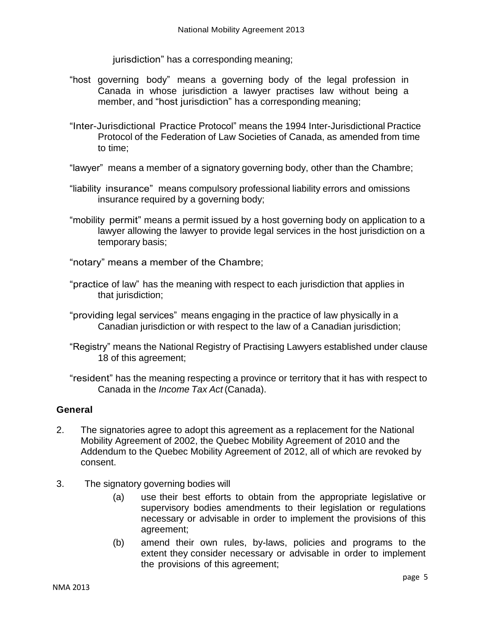jurisdiction" has a corresponding meaning;

- "host governing body" means a governing body of the legal profession in Canada in whose jurisdiction a lawyer practises law without being a member, and "host jurisdiction" has a corresponding meaning;
- "Inter-Jurisdictional Practice Protocol" means the 1994 Inter-Jurisdictional Practice Protocol of the Federation of Law Societies of Canada, as amended from time to time;
- "lawyer" means a member of a signatory governing body, other than the Chambre;
- "liability insurance" means compulsory professional liability errors and omissions insurance required by a governing body;
- "mobility permit" means a permit issued by a host governing body on application to a lawyer allowing the lawyer to provide legal services in the host jurisdiction on a temporary basis;
- "notary" means a member of the Chambre;
- "practice of law" has the meaning with respect to each jurisdiction that applies in that jurisdiction;
- "providing legal services" means engaging in the practice of law physically in a Canadian jurisdiction or with respect to the law of a Canadian jurisdiction;
- "Registry" means the National Registry of Practising Lawyers established under clause 18 of this agreement;
- "resident" has the meaning respecting a province or territory that it has with respect to Canada in the *Income Tax Act* (Canada).

#### **General**

- 2. The signatories agree to adopt this agreement as a replacement for the National Mobility Agreement of 2002, the Quebec Mobility Agreement of 2010 and the Addendum to the Quebec Mobility Agreement of 2012, all of which are revoked by consent.
- 3. The signatory governing bodies will
	- (a) use their best efforts to obtain from the appropriate legislative or supervisory bodies amendments to their legislation or regulations necessary or advisable in order to implement the provisions of this agreement;
	- (b) amend their own rules, by-laws, policies and programs to the extent they consider necessary or advisable in order to implement the provisions of this agreement;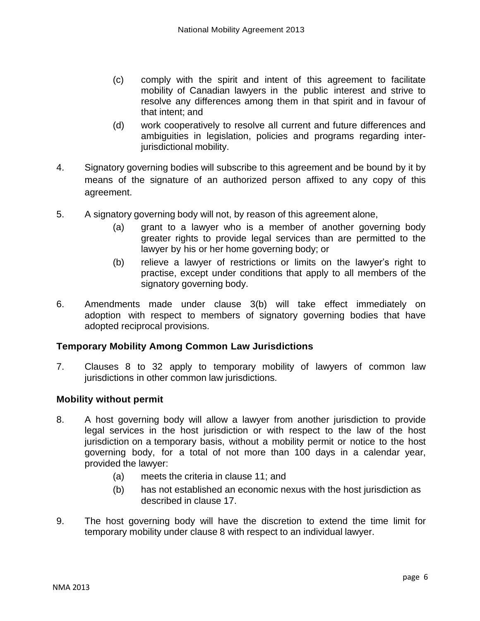- (c) comply with the spirit and intent of this agreement to facilitate mobility of Canadian lawyers in the public interest and strive to resolve any differences among them in that spirit and in favour of that intent; and
- (d) work cooperatively to resolve all current and future differences and ambiguities in legislation, policies and programs regarding interjurisdictional mobility.
- 4. Signatory governing bodies will subscribe to this agreement and be bound by it by means of the signature of an authorized person affixed to any copy of this agreement.
- 5. A signatory governing body will not, by reason of this agreement alone,
	- (a) grant to a lawyer who is a member of another governing body greater rights to provide legal services than are permitted to the lawyer by his or her home governing body; or
	- (b) relieve a lawyer of restrictions or limits on the lawyer's right to practise, except under conditions that apply to all members of the signatory governing body.
- 6. Amendments made under clause 3(b) will take effect immediately on adoption with respect to members of signatory governing bodies that have adopted reciprocal provisions.

#### **Temporary Mobility Among Common Law Jurisdictions**

7. Clauses 8 to 32 apply to temporary mobility of lawyers of common law jurisdictions in other common law jurisdictions.

#### **Mobility without permit**

- 8. A host governing body will allow a lawyer from another jurisdiction to provide legal services in the host jurisdiction or with respect to the law of the host jurisdiction on a temporary basis, without a mobility permit or notice to the host governing body, for a total of not more than 100 days in a calendar year, provided the lawyer:
	- (a) meets the criteria in clause 11; and
	- (b) has not established an economic nexus with the host jurisdiction as described in clause 17.
- 9. The host governing body will have the discretion to extend the time limit for temporary mobility under clause 8 with respect to an individual lawyer.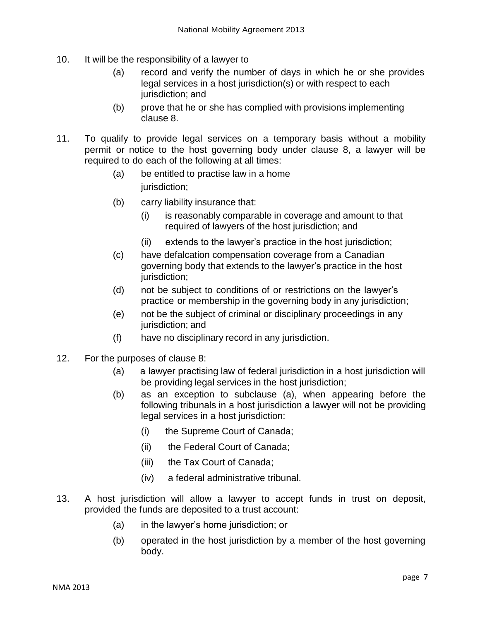- 10. It will be the responsibility of a lawyer to
	- (a) record and verify the number of days in which he or she provides legal services in a host jurisdiction(s) or with respect to each jurisdiction; and
	- (b) prove that he or she has complied with provisions implementing clause 8.
- 11. To qualify to provide legal services on a temporary basis without a mobility permit or notice to the host governing body under clause 8, a lawyer will be required to do each of the following at all times:
	- (a) be entitled to practise law in a home jurisdiction;
	- (b) carry liability insurance that:
		- (i) is reasonably comparable in coverage and amount to that required of lawyers of the host jurisdiction; and
		- (ii) extends to the lawyer's practice in the host jurisdiction;
	- (c) have defalcation compensation coverage from a Canadian governing body that extends to the lawyer's practice in the host jurisdiction;
	- (d) not be subject to conditions of or restrictions on the lawyer's practice or membership in the governing body in any jurisdiction;
	- (e) not be the subject of criminal or disciplinary proceedings in any jurisdiction; and
	- (f) have no disciplinary record in any jurisdiction.
- 12. For the purposes of clause 8:
	- (a) a lawyer practising law of federal jurisdiction in a host jurisdiction will be providing legal services in the host jurisdiction;
	- (b) as an exception to subclause (a), when appearing before the following tribunals in a host jurisdiction a lawyer will not be providing legal services in a host jurisdiction:
		- (i) the Supreme Court of Canada;
		- (ii) the Federal Court of Canada;
		- (iii) the Tax Court of Canada;
		- (iv) a federal administrative tribunal.
- 13. A host jurisdiction will allow a lawyer to accept funds in trust on deposit, provided the funds are deposited to a trust account:
	- (a) in the lawyer's home jurisdiction; or
	- (b) operated in the host jurisdiction by a member of the host governing body.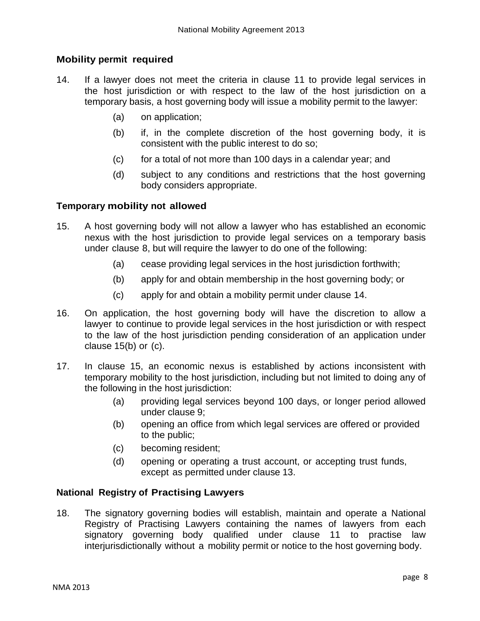#### **Mobility permit required**

- 14. If a lawyer does not meet the criteria in clause 11 to provide legal services in the host jurisdiction or with respect to the law of the host jurisdiction on a temporary basis, a host governing body will issue a mobility permit to the lawyer:
	- (a) on application;
	- (b) if, in the complete discretion of the host governing body, it is consistent with the public interest to do so;
	- (c) for a total of not more than 100 days in a calendar year; and
	- (d) subject to any conditions and restrictions that the host governing body considers appropriate.

#### **Temporary mobility not allowed**

- 15. A host governing body will not allow a lawyer who has established an economic nexus with the host jurisdiction to provide legal services on a temporary basis under clause 8, but will require the lawyer to do one of the following:
	- (a) cease providing legal services in the host jurisdiction forthwith;
	- (b) apply for and obtain membership in the host governing body; or
	- (c) apply for and obtain a mobility permit under clause 14.
- 16. On application, the host governing body will have the discretion to allow a lawyer to continue to provide legal services in the host jurisdiction or with respect to the law of the host jurisdiction pending consideration of an application under clause 15(b) or (c).
- 17. In clause 15, an economic nexus is established by actions inconsistent with temporary mobility to the host jurisdiction, including but not limited to doing any of the following in the host jurisdiction:
	- (a) providing legal services beyond 100 days, or longer period allowed under clause 9;
	- (b) opening an office from which legal services are offered or provided to the public;
	- (c) becoming resident;
	- (d) opening or operating a trust account, or accepting trust funds, except as permitted under clause 13.

#### **National Registry of Practising Lawyers**

18. The signatory governing bodies will establish, maintain and operate a National Registry of Practising Lawyers containing the names of lawyers from each signatory governing body qualified under clause 11 to practise law interjurisdictionally without a mobility permit or notice to the host governing body.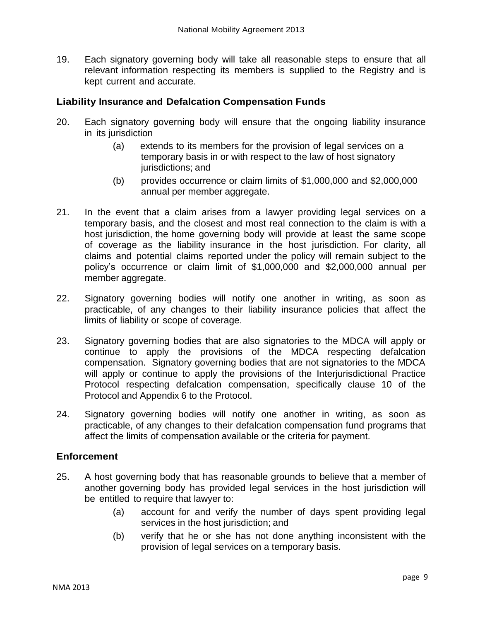19. Each signatory governing body will take all reasonable steps to ensure that all relevant information respecting its members is supplied to the Registry and is kept current and accurate.

#### **Liability Insurance and Defalcation Compensation Funds**

- 20. Each signatory governing body will ensure that the ongoing liability insurance in its jurisdiction
	- (a) extends to its members for the provision of legal services on a temporary basis in or with respect to the law of host signatory jurisdictions; and
	- (b) provides occurrence or claim limits of \$1,000,000 and \$2,000,000 annual per member aggregate.
- 21. In the event that a claim arises from a lawyer providing legal services on a temporary basis, and the closest and most real connection to the claim is with a host jurisdiction, the home governing body will provide at least the same scope of coverage as the liability insurance in the host jurisdiction. For clarity, all claims and potential claims reported under the policy will remain subject to the policy's occurrence or claim limit of \$1,000,000 and \$2,000,000 annual per member aggregate.
- 22. Signatory governing bodies will notify one another in writing, as soon as practicable, of any changes to their liability insurance policies that affect the limits of liability or scope of coverage.
- 23. Signatory governing bodies that are also signatories to the MDCA will apply or continue to apply the provisions of the MDCA respecting defalcation compensation. Signatory governing bodies that are not signatories to the MDCA will apply or continue to apply the provisions of the Interjurisdictional Practice Protocol respecting defalcation compensation, specifically clause 10 of the Protocol and Appendix 6 to the Protocol.
- 24. Signatory governing bodies will notify one another in writing, as soon as practicable, of any changes to their defalcation compensation fund programs that affect the limits of compensation available or the criteria for payment.

#### **Enforcement**

- 25. A host governing body that has reasonable grounds to believe that a member of another governing body has provided legal services in the host jurisdiction will be entitled to require that lawyer to:
	- (a) account for and verify the number of days spent providing legal services in the host jurisdiction; and
	- (b) verify that he or she has not done anything inconsistent with the provision of legal services on a temporary basis.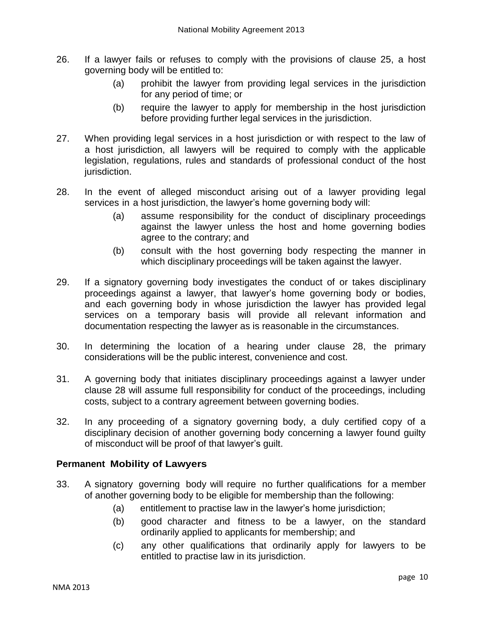- 26. If a lawyer fails or refuses to comply with the provisions of clause 25, a host governing body will be entitled to:
	- (a) prohibit the lawyer from providing legal services in the jurisdiction for any period of time; or
	- (b) require the lawyer to apply for membership in the host jurisdiction before providing further legal services in the jurisdiction.
- 27. When providing legal services in a host jurisdiction or with respect to the law of a host jurisdiction, all lawyers will be required to comply with the applicable legislation, regulations, rules and standards of professional conduct of the host jurisdiction.
- 28. In the event of alleged misconduct arising out of a lawyer providing legal services in a host jurisdiction, the lawyer's home governing body will:
	- (a) assume responsibility for the conduct of disciplinary proceedings against the lawyer unless the host and home governing bodies agree to the contrary; and
	- (b) consult with the host governing body respecting the manner in which disciplinary proceedings will be taken against the lawyer.
- 29. If a signatory governing body investigates the conduct of or takes disciplinary proceedings against a lawyer, that lawyer's home governing body or bodies, and each governing body in whose jurisdiction the lawyer has provided legal services on a temporary basis will provide all relevant information and documentation respecting the lawyer as is reasonable in the circumstances.
- 30. In determining the location of a hearing under clause 28, the primary considerations will be the public interest, convenience and cost.
- 31. A governing body that initiates disciplinary proceedings against a lawyer under clause 28 will assume full responsibility for conduct of the proceedings, including costs, subject to a contrary agreement between governing bodies.
- 32. In any proceeding of a signatory governing body, a duly certified copy of a disciplinary decision of another governing body concerning a lawyer found guilty of misconduct will be proof of that lawyer's guilt.

#### **Permanent Mobility of Lawyers**

- 33. A signatory governing body will require no further qualifications for a member of another governing body to be eligible for membership than the following:
	- (a) entitlement to practise law in the lawyer's home jurisdiction;
	- (b) good character and fitness to be a lawyer, on the standard ordinarily applied to applicants for membership; and
	- (c) any other qualifications that ordinarily apply for lawyers to be entitled to practise law in its jurisdiction.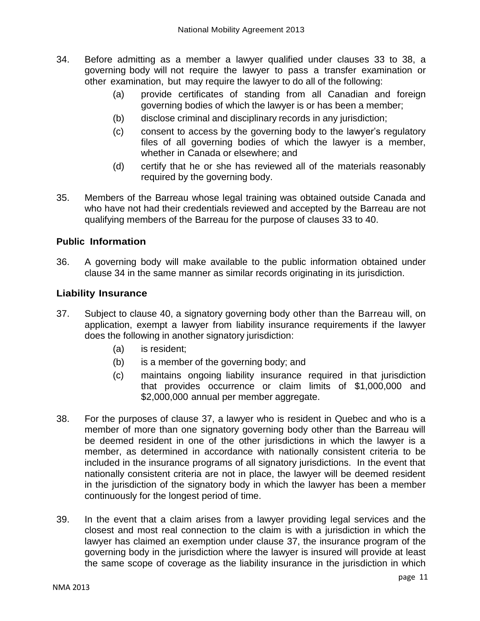- 34. Before admitting as a member a lawyer qualified under clauses 33 to 38, a governing body will not require the lawyer to pass a transfer examination or other examination, but may require the lawyer to do all of the following:
	- (a) provide certificates of standing from all Canadian and foreign governing bodies of which the lawyer is or has been a member;
	- (b) disclose criminal and disciplinary records in any jurisdiction;
	- (c) consent to access by the governing body to the lawyer's regulatory files of all governing bodies of which the lawyer is a member, whether in Canada or elsewhere; and
	- (d) certify that he or she has reviewed all of the materials reasonably required by the governing body.
- 35. Members of the Barreau whose legal training was obtained outside Canada and who have not had their credentials reviewed and accepted by the Barreau are not qualifying members of the Barreau for the purpose of clauses 33 to 40.

#### **Public Information**

36. A governing body will make available to the public information obtained under clause 34 in the same manner as similar records originating in its jurisdiction.

#### **Liability Insurance**

- 37. Subject to clause 40, a signatory governing body other than the Barreau will, on application, exempt a lawyer from liability insurance requirements if the lawyer does the following in another signatory jurisdiction:
	- (a) is resident;
	- (b) is a member of the governing body; and
	- (c) maintains ongoing liability insurance required in that jurisdiction that provides occurrence or claim limits of \$1,000,000 and \$2,000,000 annual per member aggregate.
- 38. For the purposes of clause 37, a lawyer who is resident in Quebec and who is a member of more than one signatory governing body other than the Barreau will be deemed resident in one of the other jurisdictions in which the lawyer is a member, as determined in accordance with nationally consistent criteria to be included in the insurance programs of all signatory jurisdictions. In the event that nationally consistent criteria are not in place, the lawyer will be deemed resident in the jurisdiction of the signatory body in which the lawyer has been a member continuously for the longest period of time.
- 39. In the event that a claim arises from a lawyer providing legal services and the closest and most real connection to the claim is with a jurisdiction in which the lawyer has claimed an exemption under clause 37, the insurance program of the governing body in the jurisdiction where the lawyer is insured will provide at least the same scope of coverage as the liability insurance in the jurisdiction in which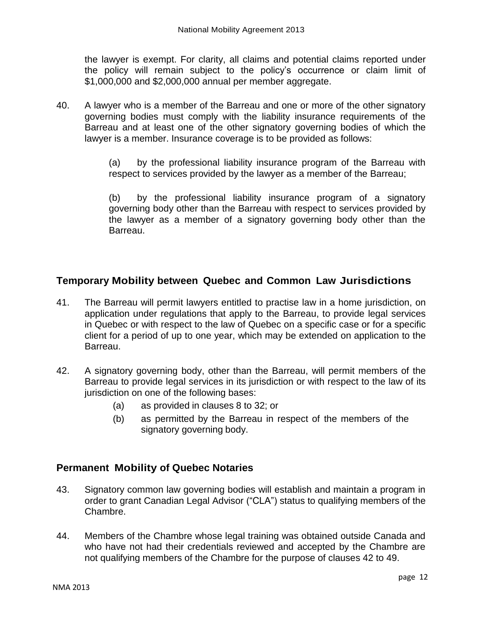the lawyer is exempt. For clarity, all claims and potential claims reported under the policy will remain subject to the policy's occurrence or claim limit of \$1,000,000 and \$2,000,000 annual per member aggregate.

40. A lawyer who is a member of the Barreau and one or more of the other signatory governing bodies must comply with the liability insurance requirements of the Barreau and at least one of the other signatory governing bodies of which the lawyer is a member. Insurance coverage is to be provided as follows:

> (a) by the professional liability insurance program of the Barreau with respect to services provided by the lawyer as a member of the Barreau;

> (b) by the professional liability insurance program of a signatory governing body other than the Barreau with respect to services provided by the lawyer as a member of a signatory governing body other than the Barreau.

# **Temporary Mobility between Quebec and Common Law Jurisdictions**

- 41. The Barreau will permit lawyers entitled to practise law in a home jurisdiction, on application under regulations that apply to the Barreau, to provide legal services in Quebec or with respect to the law of Quebec on a specific case or for a specific client for a period of up to one year, which may be extended on application to the Barreau.
- 42. A signatory governing body, other than the Barreau, will permit members of the Barreau to provide legal services in its jurisdiction or with respect to the law of its jurisdiction on one of the following bases:
	- (a) as provided in clauses 8 to 32; or
	- (b) as permitted by the Barreau in respect of the members of the signatory governing body.

## **Permanent Mobility of Quebec Notaries**

- 43. Signatory common law governing bodies will establish and maintain a program in order to grant Canadian Legal Advisor ("CLA") status to qualifying members of the Chambre.
- 44. Members of the Chambre whose legal training was obtained outside Canada and who have not had their credentials reviewed and accepted by the Chambre are not qualifying members of the Chambre for the purpose of clauses 42 to 49.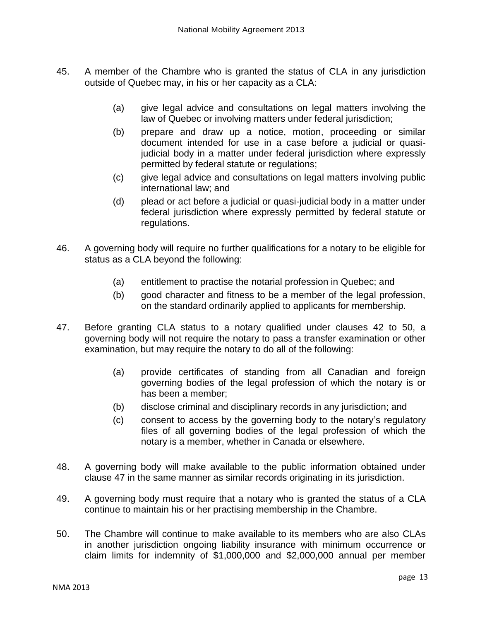- 45. A member of the Chambre who is granted the status of CLA in any jurisdiction outside of Quebec may, in his or her capacity as a CLA:
	- (a) give legal advice and consultations on legal matters involving the law of Quebec or involving matters under federal jurisdiction;
	- (b) prepare and draw up a notice, motion, proceeding or similar document intended for use in a case before a judicial or quasijudicial body in a matter under federal jurisdiction where expressly permitted by federal statute or regulations;
	- (c) give legal advice and consultations on legal matters involving public international law; and
	- (d) plead or act before a judicial or quasi-judicial body in a matter under federal jurisdiction where expressly permitted by federal statute or regulations.
- 46. A governing body will require no further qualifications for a notary to be eligible for status as a CLA beyond the following:
	- (a) entitlement to practise the notarial profession in Quebec; and
	- (b) good character and fitness to be a member of the legal profession, on the standard ordinarily applied to applicants for membership.
- 47. Before granting CLA status to a notary qualified under clauses 42 to 50, a governing body will not require the notary to pass a transfer examination or other examination, but may require the notary to do all of the following:
	- (a) provide certificates of standing from all Canadian and foreign governing bodies of the legal profession of which the notary is or has been a member;
	- (b) disclose criminal and disciplinary records in any jurisdiction; and
	- (c) consent to access by the governing body to the notary's regulatory files of all governing bodies of the legal profession of which the notary is a member, whether in Canada or elsewhere.
- 48. A governing body will make available to the public information obtained under clause 47 in the same manner as similar records originating in its jurisdiction.
- 49. A governing body must require that a notary who is granted the status of a CLA continue to maintain his or her practising membership in the Chambre.
- 50. The Chambre will continue to make available to its members who are also CLAs in another jurisdiction ongoing liability insurance with minimum occurrence or claim limits for indemnity of \$1,000,000 and \$2,000,000 annual per member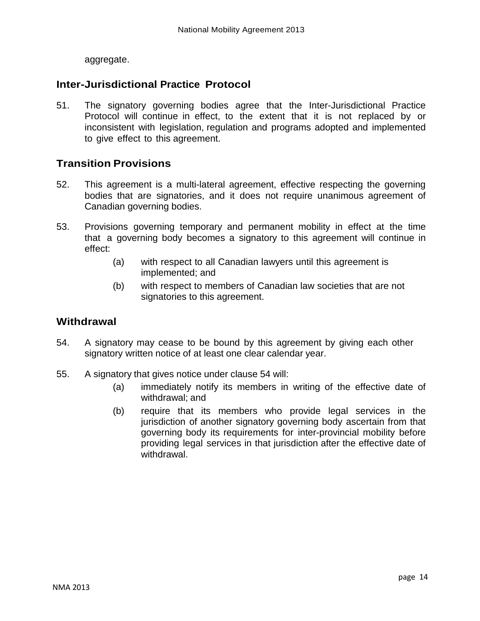aggregate.

## **Inter-Jurisdictional Practice Protocol**

51. The signatory governing bodies agree that the Inter-Jurisdictional Practice Protocol will continue in effect, to the extent that it is not replaced by or inconsistent with legislation, regulation and programs adopted and implemented to give effect to this agreement.

## **Transition Provisions**

- 52. This agreement is a multi-lateral agreement, effective respecting the governing bodies that are signatories, and it does not require unanimous agreement of Canadian governing bodies.
- 53. Provisions governing temporary and permanent mobility in effect at the time that a governing body becomes a signatory to this agreement will continue in effect:
	- (a) with respect to all Canadian lawyers until this agreement is implemented; and
	- (b) with respect to members of Canadian law societies that are not signatories to this agreement.

#### **Withdrawal**

- 54. A signatory may cease to be bound by this agreement by giving each other signatory written notice of at least one clear calendar year.
- 55. A signatory that gives notice under clause 54 will:
	- (a) immediately notify its members in writing of the effective date of withdrawal; and
	- (b) require that its members who provide legal services in the jurisdiction of another signatory governing body ascertain from that governing body its requirements for inter-provincial mobility before providing legal services in that jurisdiction after the effective date of withdrawal.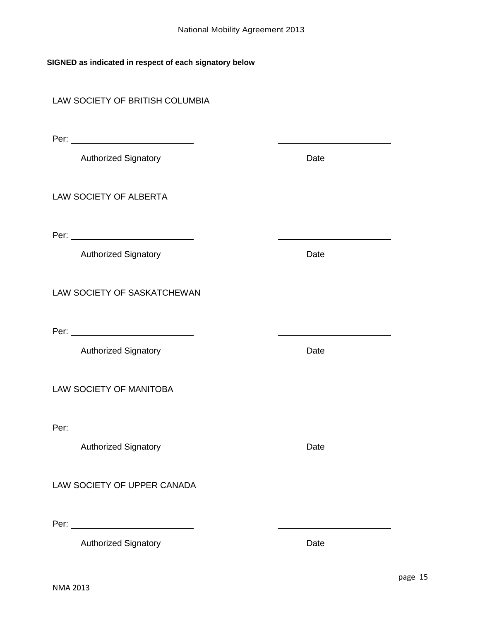#### **SIGNED as indicated in respect of each signatory below**

#### LAW SOCIETY OF BRITISH COLUMBIA

Per: with the contract of the contract of the contract of the contract of the contract of the contract of the contract of the contract of the contract of the contract of the contract of the contract of the contract of the

Authorized Signatory **Date** 

LAW SOCIETY OF ALBERTA

Per:

Authorized Signatory **Date** 

LAW SOCIETY OF SASKATCHEWAN

Per:

Authorized Signatory **Date** 

LAW SOCIETY OF MANITOBA

Per: with the contract of the contract of the contract of the contract of the contract of the contract of the contract of the contract of the contract of the contract of the contract of the contract of the contract of the

Authorized Signatory **Date** 

LAW SOCIETY OF UPPER CANADA

Per:

Authorized Signatory **Date** 

<u> 1980 - Johann Barbara, martxa al</u>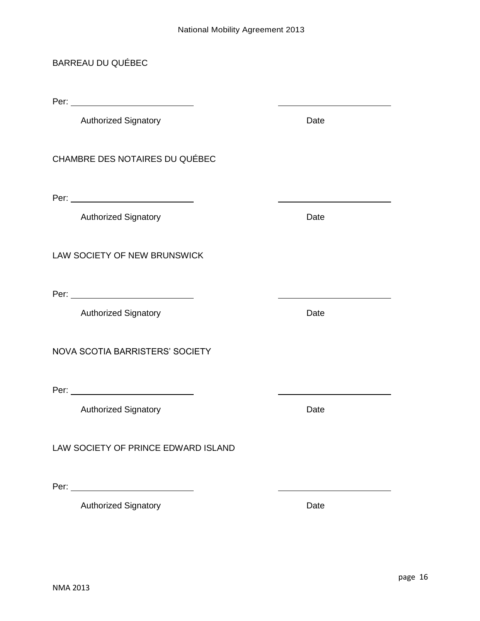## BARREAU DU QUÉBEC

Per:

Authorized Signatory **Date** 

### CHAMBRE DES NOTAIRES DU QUÉBEC

Per:

Authorized Signatory **Date** 

LAW SOCIETY OF NEW BRUNSWICK

Per:

Authorized Signatory **Date** 

NOVA SCOTIA BARRISTERS' SOCIETY

Per:

Authorized Signatory **Date** 

LAW SOCIETY OF PRINCE EDWARD ISLAND

Per:

Authorized Signatory **Date** 

NMA 2013